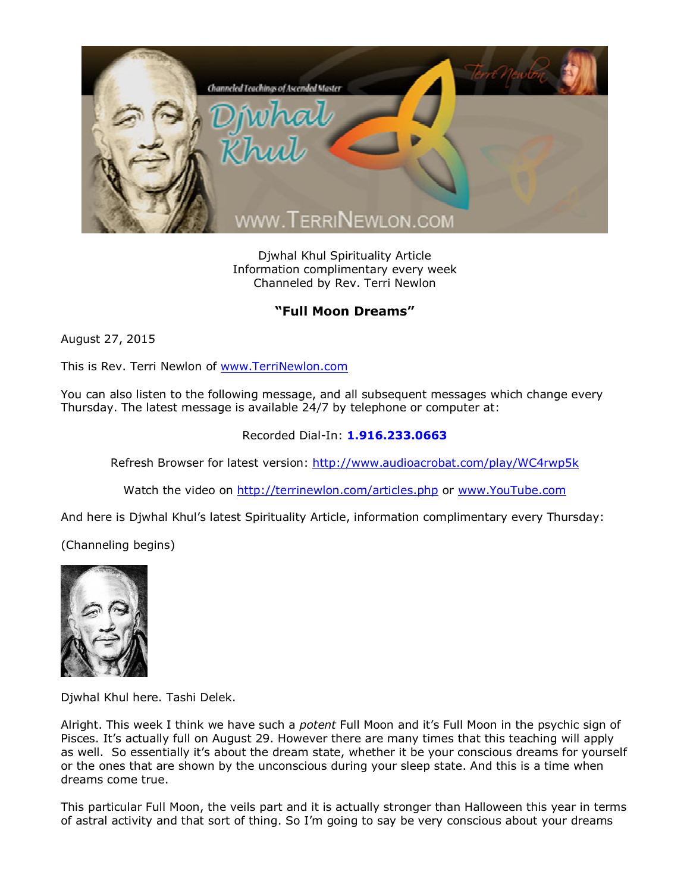

Djwhal Khul Spirituality Article Information complimentary every week Channeled by Rev. Terri Newlon

## **"Full Moon Dreams"**

August 27, 2015

This is Rev. Terri Newlon of [www.TerriNewlon.com](http://www.terrinewlon.com/)

You can also listen to the following message, and all subsequent messages which change every Thursday. The latest message is available 24/7 by telephone or computer at:

## Recorded Dial-In: **1.916.233.0663**

Refresh Browser for latest version: <http://www.audioacrobat.com/play/WC4rwp5k>

Watch the video on <http://terrinewlon.com/articles.php> or [www.YouTube.com](http://www.youtube.com/)

And here is Djwhal Khul's latest Spirituality Article, information complimentary every Thursday:

(Channeling begins)



Djwhal Khul here. Tashi Delek.

Alright. This week I think we have such a *potent* Full Moon and it's Full Moon in the psychic sign of Pisces. It's actually full on August 29. However there are many times that this teaching will apply as well. So essentially it's about the dream state, whether it be your conscious dreams for yourself or the ones that are shown by the unconscious during your sleep state. And this is a time when dreams come true.

This particular Full Moon, the veils part and it is actually stronger than Halloween this year in terms of astral activity and that sort of thing. So I'm going to say be very conscious about your dreams